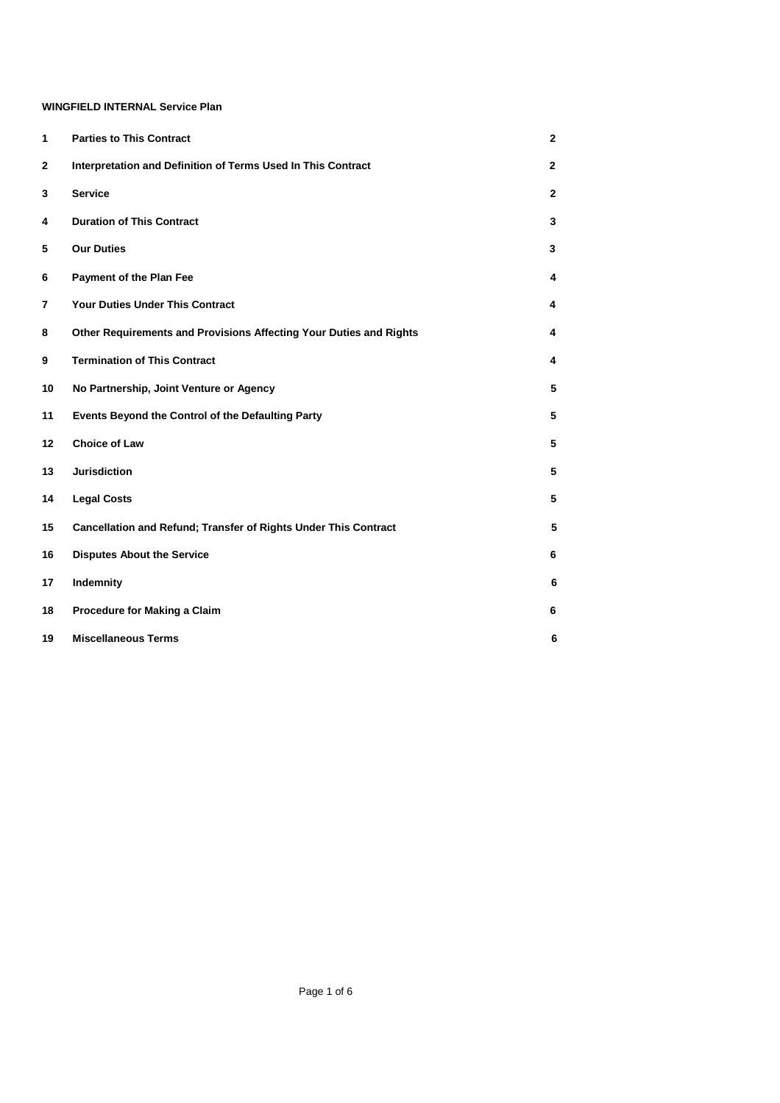## **WINGFIELD INTERNAL Service Plan**

| 1              | <b>Parties to This Contract</b>                                    | $\mathbf 2$    |
|----------------|--------------------------------------------------------------------|----------------|
| $\mathbf 2$    | Interpretation and Definition of Terms Used In This Contract       | $\overline{2}$ |
| 3              | <b>Service</b>                                                     | $\overline{2}$ |
| 4              | <b>Duration of This Contract</b>                                   | 3              |
| 5              | <b>Our Duties</b>                                                  | 3              |
| 6              | <b>Payment of the Plan Fee</b>                                     | 4              |
| $\overline{7}$ | <b>Your Duties Under This Contract</b>                             | 4              |
| 8              | Other Requirements and Provisions Affecting Your Duties and Rights | 4              |
| 9              | <b>Termination of This Contract</b>                                | 4              |
| 10             | No Partnership, Joint Venture or Agency                            | 5              |
| 11             | Events Beyond the Control of the Defaulting Party                  | 5              |
| 12             | Choice of Law                                                      | 5              |
| 13             | <b>Jurisdiction</b>                                                | 5              |
| 14             | <b>Legal Costs</b>                                                 | 5              |
| 15             | Cancellation and Refund; Transfer of Rights Under This Contract    | 5              |
| 16             | <b>Disputes About the Service</b>                                  | 6              |
| 17             | Indemnity                                                          | 6              |
| 18             | Procedure for Making a Claim                                       | 6              |
| 19             | <b>Miscellaneous Terms</b>                                         | 6              |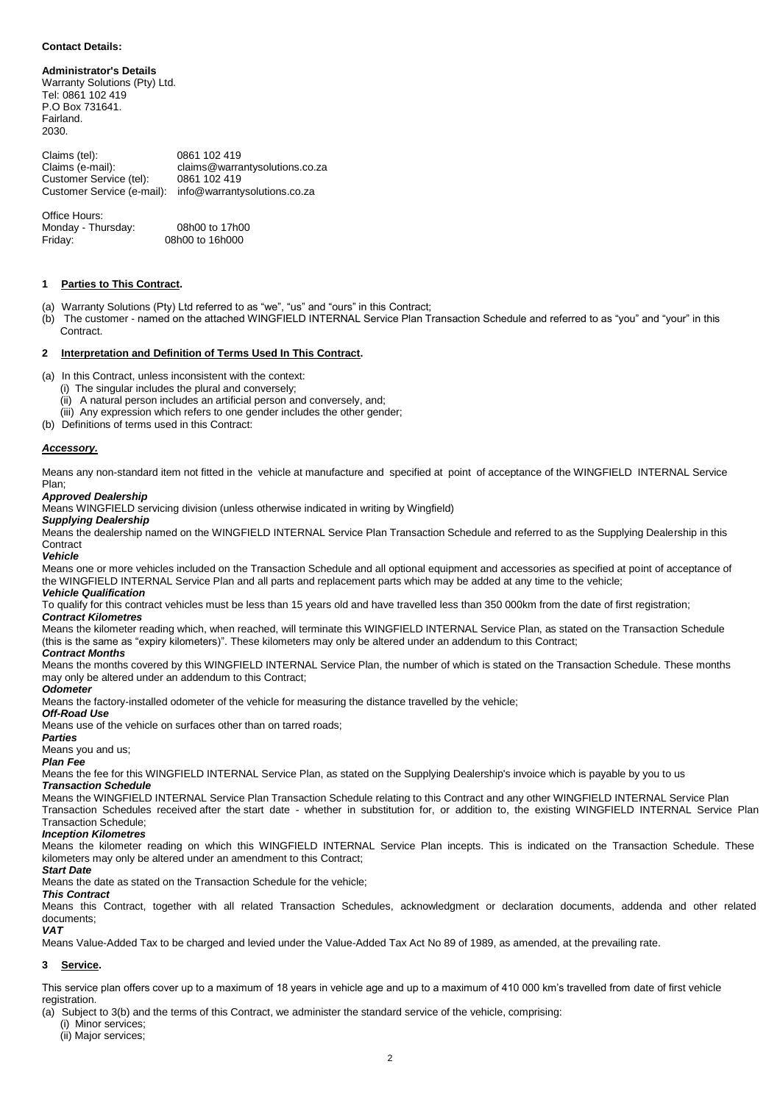#### **Contact Details:**

**Administrator's Details**  Warranty Solutions (Pty) Ltd. Tel: 0861 102 419 P.O Box 731641. Fairland. 2030.

Claims (tel): 0861 102 419<br>Claims (e-mail): claims@warra claims@warrantysolutions.co.za<br>0861 102 419 Customer Service (tel): Customer Service (e-mail): info@warrantysolutions.co.za

Office Hours: Monday - Thursday: 08h00 to 17h00<br>Friday: 08h00 to 16h000 08h00 to 16h000

## **1 Parties to This Contract.**

- (a) Warranty Solutions (Pty) Ltd referred to as "we", "us" and "ours" in this Contract;
- (b) The customer named on the attached WINGFIELD INTERNAL Service Plan Transaction Schedule and referred to as "you" and "your" in this Contract.

#### **2 Interpretation and Definition of Terms Used In This Contract.**

(a) In this Contract, unless inconsistent with the context:

- (i) The singular includes the plural and conversely;
- (ii) A natural person includes an artificial person and conversely, and;
- (iii) Any expression which refers to one gender includes the other gender;
- (b) Definitions of terms used in this Contract:

#### *Accessory.*

Means any non-standard item not fitted in the vehicle at manufacture and specified at point of acceptance of the WINGFIELD INTERNAL Service Plan;

#### *Approved Dealership*

Means WINGFIELD servicing division (unless otherwise indicated in writing by Wingfield)

## *Supplying Dealership*

Means the dealership named on the WINGFIELD INTERNAL Service Plan Transaction Schedule and referred to as the Supplying Dealership in this **Contract** 

#### *Vehicle*

Means one or more vehicles included on the Transaction Schedule and all optional equipment and accessories as specified at point of acceptance of the WINGFIELD INTERNAL Service Plan and all parts and replacement parts which may be added at any time to the vehicle;

# *Vehicle Qualification*

To qualify for this contract vehicles must be less than 15 years old and have travelled less than 350 000km from the date of first registration;

## *Contract Kilometres*

Means the kilometer reading which, when reached, will terminate this WINGFIELD INTERNAL Service Plan, as stated on the Transaction Schedule (this is the same as "expiry kilometers)". These kilometers may only be altered under an addendum to this Contract;

#### *Contract Months*

Means the months covered by this WINGFIELD INTERNAL Service Plan, the number of which is stated on the Transaction Schedule. These months may only be altered under an addendum to this Contract;

#### *Odometer*

Means the factory-installed odometer of the vehicle for measuring the distance travelled by the vehicle;

#### *Off-Road Use*

Means use of the vehicle on surfaces other than on tarred roads;

## *Parties*

## Means you and us;

## *Plan Fee*

Means the fee for this WINGFIELD INTERNAL Service Plan, as stated on the Supplying Dealership's invoice which is payable by you to us

## *Transaction Schedule*

Means the WINGFIELD INTERNAL Service Plan Transaction Schedule relating to this Contract and any other WINGFIELD INTERNAL Service Plan Transaction Schedules received after the start date - whether in substitution for, or addition to, the existing WINGFIELD INTERNAL Service Plan Transaction Schedule;

#### *Inception Kilometres*

Means the kilometer reading on which this WINGFIELD INTERNAL Service Plan incepts. This is indicated on the Transaction Schedule. These kilometers may only be altered under an amendment to this Contract;

#### *Start Date*

Means the date as stated on the Transaction Schedule for the vehicle;

## *This Contract*

Means this Contract, together with all related Transaction Schedules, acknowledgment or declaration documents, addenda and other related documents;

### *VAT*

Means Value-Added Tax to be charged and levied under the Value-Added Tax Act No 89 of 1989, as amended, at the prevailing rate.

## **3 Service.**

This service plan offers cover up to a maximum of 18 years in vehicle age and up to a maximum of 410 000 km's travelled from date of first vehicle registration.

(a) Subject to 3(b) and the terms of this Contract, we administer the standard service of the vehicle, comprising:

(i) Minor services; (ii) Major services;

 $\overline{2}$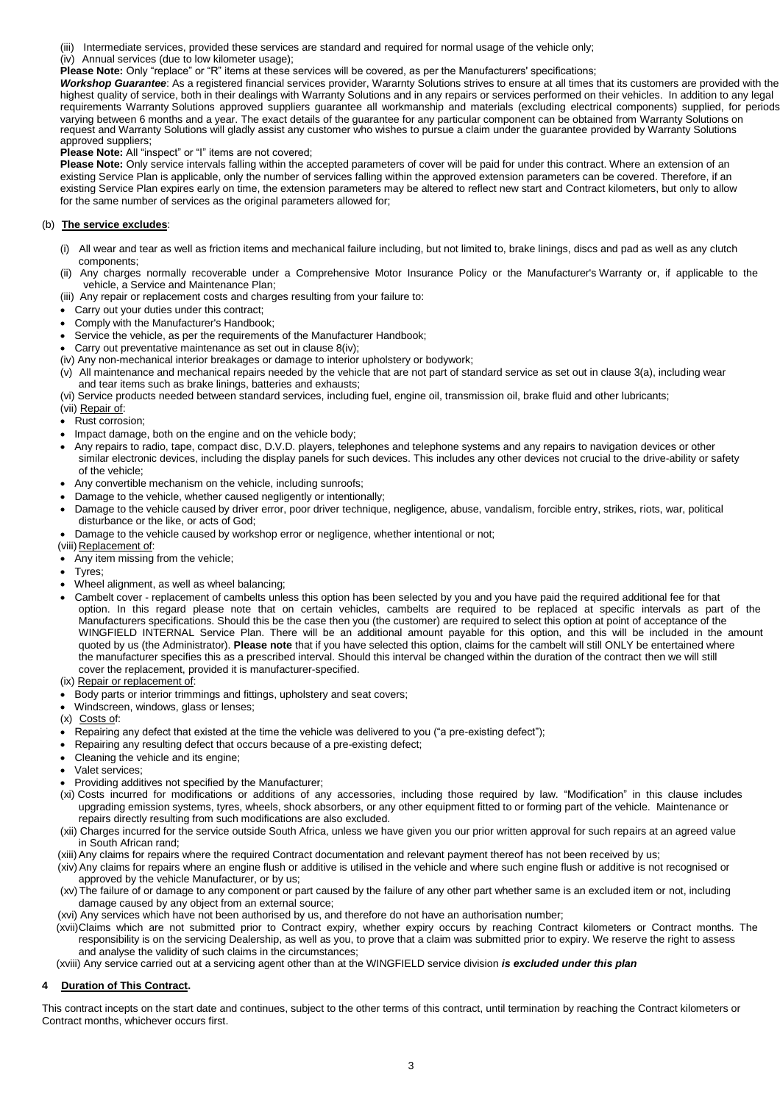(iii) Intermediate services, provided these services are standard and required for normal usage of the vehicle only;

(iv) Annual services (due to low kilometer usage);

**Please Note:** Only "replace" or "R" items at these services will be covered, as per the Manufacturers' specifications;

*Workshop Guarantee*: As a registered financial services provider, Wararnty Solutions strives to ensure at all times that its customers are provided with the highest quality of service, both in their dealings with Warranty Solutions and in any repairs or services performed on their vehicles. In addition to any legal requirements Warranty Solutions approved suppliers guarantee all workmanship and materials (excluding electrical components) supplied, for periods varying between 6 months and a year. The exact details of the guarantee for any particular component can be obtained from Warranty Solutions on request and Warranty Solutions will gladly assist any customer who wishes to pursue a claim under the guarantee provided by Warranty Solutions approved suppliers;

**Please Note:** All "inspect" or "I" items are not covered;

**Please Note:** Only service intervals falling within the accepted parameters of cover will be paid for under this contract. Where an extension of an existing Service Plan is applicable, only the number of services falling within the approved extension parameters can be covered. Therefore, if an existing Service Plan expires early on time, the extension parameters may be altered to reflect new start and Contract kilometers, but only to allow for the same number of services as the original parameters allowed for;

### (b) **The service excludes**:

- (i) All wear and tear as well as friction items and mechanical failure including, but not limited to, brake linings, discs and pad as well as any clutch components;
- (ii) Any charges normally recoverable under a Comprehensive Motor Insurance Policy or the Manufacturer's Warranty or, if applicable to the vehicle, a Service and Maintenance Plan;

(iii) Any repair or replacement costs and charges resulting from your failure to:

- Carry out your duties under this contract;
- Comply with the Manufacturer's Handbook;
- Service the vehicle, as per the requirements of the Manufacturer Handbook;
- Carry out preventative maintenance as set out in clause 8(iv);
- (iv) Any non-mechanical interior breakages or damage to interior upholstery or bodywork;
- (v) All maintenance and mechanical repairs needed by the vehicle that are not part of standard service as set out in clause 3(a), including wear and tear items such as brake linings, batteries and exhausts;

(vi) Service products needed between standard services, including fuel, engine oil, transmission oil, brake fluid and other lubricants;

- (vii) Repair of:
- Rust corrosion;
- Impact damage, both on the engine and on the vehicle body;
- Any repairs to radio, tape, compact disc, D.V.D. players, telephones and telephone systems and any repairs to navigation devices or other similar electronic devices, including the display panels for such devices. This includes any other devices not crucial to the drive-ability or safety of the vehicle;
- Any convertible mechanism on the vehicle, including sunroofs;
- Damage to the vehicle, whether caused negligently or intentionally;
- Damage to the vehicle caused by driver error, poor driver technique, negligence, abuse, vandalism, forcible entry, strikes, riots, war, political disturbance or the like, or acts of God;
- Damage to the vehicle caused by workshop error or negligence, whether intentional or not;
- (viii) Replacement of:
- Any item missing from the vehicle;
- Tyres;
- Wheel alignment, as well as wheel balancing;
- Cambelt cover replacement of cambelts unless this option has been selected by you and you have paid the required additional fee for that option. In this regard please note that on certain vehicles, cambelts are required to be replaced at specific intervals as part of the Manufacturers specifications. Should this be the case then you (the customer) are required to select this option at point of acceptance of the WINGFIELD INTERNAL Service Plan. There will be an additional amount payable for this option, and this will be included in the amount quoted by us (the Administrator). **Please note** that if you have selected this option, claims for the cambelt will still ONLY be entertained where the manufacturer specifies this as a prescribed interval. Should this interval be changed within the duration of the contract then we will still cover the replacement, provided it is manufacturer-specified.
- (ix) Repair or replacement of:
- Body parts or interior trimmings and fittings, upholstery and seat covers;
- Windscreen, windows, glass or lenses;
- (x) Costs of:
- Repairing any defect that existed at the time the vehicle was delivered to you ("a pre-existing defect");
- Repairing any resulting defect that occurs because of a pre-existing defect;
- Cleaning the vehicle and its engine;
- Valet services;
- Providing additives not specified by the Manufacturer;
- (xi) Costs incurred for modifications or additions of any accessories, including those required by law. "Modification" in this clause includes upgrading emission systems, tyres, wheels, shock absorbers, or any other equipment fitted to or forming part of the vehicle. Maintenance or repairs directly resulting from such modifications are also excluded.
- (xii) Charges incurred for the service outside South Africa, unless we have given you our prior written approval for such repairs at an agreed value in South African rand;
- (xiii)Any claims for repairs where the required Contract documentation and relevant payment thereof has not been received by us;
- (xiv)Any claims for repairs where an engine flush or additive is utilised in the vehicle and where such engine flush or additive is not recognised or approved by the vehicle Manufacturer, or by us;
- (xv) The failure of or damage to any component or part caused by the failure of any other part whether same is an excluded item or not, including damage caused by any object from an external source;
- (xvi) Any services which have not been authorised by us, and therefore do not have an authorisation number;
- (xvii)Claims which are not submitted prior to Contract expiry, whether expiry occurs by reaching Contract kilometers or Contract months. The responsibility is on the servicing Dealership, as well as you, to prove that a claim was submitted prior to expiry. We reserve the right to assess and analyse the validity of such claims in the circumstances;
- (xviii) Any service carried out at a servicing agent other than at the WINGFIELD service division *is excluded under this plan*

### **4 Duration of This Contract.**

This contract incepts on the start date and continues, subject to the other terms of this contract, until termination by reaching the Contract kilometers or Contract months, whichever occurs first.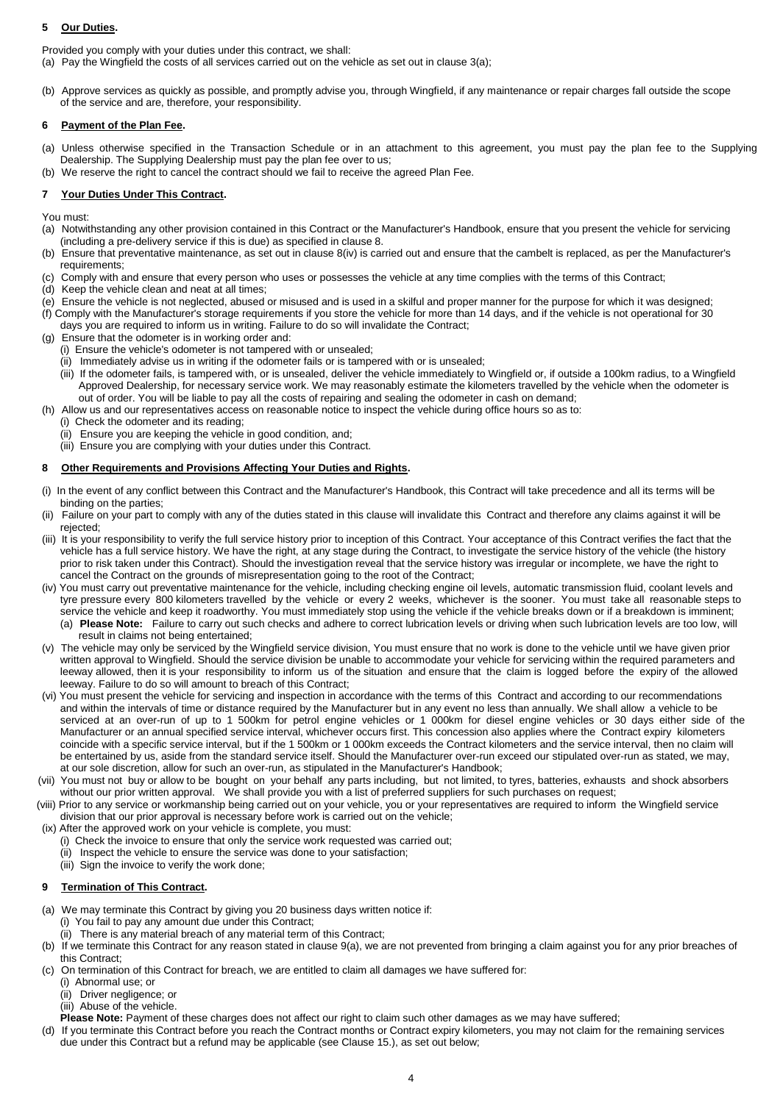## **5 Our Duties.**

Provided you comply with your duties under this contract, we shall:

(a) Pay the Wingfield the costs of all services carried out on the vehicle as set out in clause 3(a);

(b) Approve services as quickly as possible, and promptly advise you, through Wingfield, if any maintenance or repair charges fall outside the scope of the service and are, therefore, your responsibility.

## **6 Payment of the Plan Fee.**

- (a) Unless otherwise specified in the Transaction Schedule or in an attachment to this agreement, you must pay the plan fee to the Supplying Dealership. The Supplying Dealership must pay the plan fee over to us;
- (b) We reserve the right to cancel the contract should we fail to receive the agreed Plan Fee.

## **7 Your Duties Under This Contract.**

You must:

- (a) Notwithstanding any other provision contained in this Contract or the Manufacturer's Handbook, ensure that you present the vehicle for servicing (including a pre-delivery service if this is due) as specified in clause 8.
- (b) Ensure that preventative maintenance, as set out in clause 8(iv) is carried out and ensure that the cambelt is replaced, as per the Manufacturer's requirements;
- (c) Comply with and ensure that every person who uses or possesses the vehicle at any time complies with the terms of this Contract;
- (d) Keep the vehicle clean and neat at all times;
- (e) Ensure the vehicle is not neglected, abused or misused and is used in a skilful and proper manner for the purpose for which it was designed;
- (f) Comply with the Manufacturer's storage requirements if you store the vehicle for more than 14 days, and if the vehicle is not operational for 30 days you are required to inform us in writing. Failure to do so will invalidate the Contract;
- (g) Ensure that the odometer is in working order and:
- (i) Ensure the vehicle's odometer is not tampered with or unsealed;
	- (ii) Immediately advise us in writing if the odometer fails or is tampered with or is unsealed;
	- (iii) If the odometer fails, is tampered with, or is unsealed, deliver the vehicle immediately to Wingfield or, if outside a 100km radius, to a Wingfield Approved Dealership, for necessary service work. We may reasonably estimate the kilometers travelled by the vehicle when the odometer is out of order. You will be liable to pay all the costs of repairing and sealing the odometer in cash on demand;
- (h) Allow us and our representatives access on reasonable notice to inspect the vehicle during office hours so as to:
- (i) Check the odometer and its reading;
	- (ii) Ensure you are keeping the vehicle in good condition, and;
	- (iii) Ensure you are complying with your duties under this Contract.

### **8 Other Requirements and Provisions Affecting Your Duties and Rights.**

- (i) In the event of any conflict between this Contract and the Manufacturer's Handbook, this Contract will take precedence and all its terms will be binding on the parties;
- (ii) Failure on your part to comply with any of the duties stated in this clause will invalidate this Contract and therefore any claims against it will be rejected;
- (iii) It is your responsibility to verify the full service history prior to inception of this Contract. Your acceptance of this Contract verifies the fact that the vehicle has a full service history. We have the right, at any stage during the Contract, to investigate the service history of the vehicle (the history prior to risk taken under this Contract). Should the investigation reveal that the service history was irregular or incomplete, we have the right to cancel the Contract on the grounds of misrepresentation going to the root of the Contract;
- (iv) You must carry out preventative maintenance for the vehicle, including checking engine oil levels, automatic transmission fluid, coolant levels and tyre pressure every 800 kilometers travelled by the vehicle or every 2 weeks, whichever is the sooner. You must take all reasonable steps to service the vehicle and keep it roadworthy. You must immediately stop using the vehicle if the vehicle breaks down or if a breakdown is imminent;
- (a) **Please Note:** Failure to carry out such checks and adhere to correct lubrication levels or driving when such lubrication levels are too low, will result in claims not being entertained;
- (v) The vehicle may only be serviced by the Wingfield service division, You must ensure that no work is done to the vehicle until we have given prior written approval to Wingfield. Should the service division be unable to accommodate your vehicle for servicing within the required parameters and leeway allowed, then it is your responsibility to inform us of the situation and ensure that the claim is logged before the expiry of the allowed leeway. Failure to do so will amount to breach of this Contract;
- (vi) You must present the vehicle for servicing and inspection in accordance with the terms of this Contract and according to our recommendations and within the intervals of time or distance required by the Manufacturer but in any event no less than annually. We shall allow a vehicle to be serviced at an over-run of up to 1 500km for petrol engine vehicles or 1 000km for diesel engine vehicles or 30 days either side of the Manufacturer or an annual specified service interval, whichever occurs first. This concession also applies where the Contract expiry kilometers coincide with a specific service interval, but if the 1 500km or 1 000km exceeds the Contract kilometers and the service interval, then no claim will be entertained by us, aside from the standard service itself. Should the Manufacturer over-run exceed our stipulated over-run as stated, we may, at our sole discretion, allow for such an over-run, as stipulated in the Manufacturer's Handbook;
- (vii) You must not buy or allow to be bought on your behalf any parts including, but not limited, to tyres, batteries, exhausts and shock absorbers without our prior written approval. We shall provide you with a list of preferred suppliers for such purchases on request;
- (viii) Prior to any service or workmanship being carried out on your vehicle, you or your representatives are required to inform the Wingfield service division that our prior approval is necessary before work is carried out on the vehicle;
- (ix) After the approved work on your vehicle is complete, you must:
	- (i) Check the invoice to ensure that only the service work requested was carried out;
	- (ii) Inspect the vehicle to ensure the service was done to your satisfaction;
	- (iii) Sign the invoice to verify the work done;

### **9 Termination of This Contract.**

- (a) We may terminate this Contract by giving you 20 business days written notice if:
	- (i) You fail to pay any amount due under this Contract;
	- (ii) There is any material breach of any material term of this Contract;
- (b) If we terminate this Contract for any reason stated in clause 9(a), we are not prevented from bringing a claim against you for any prior breaches of this Contract;
- (c) On termination of this Contract for breach, we are entitled to claim all damages we have suffered for:
	- (i) Abnormal use; or
	- (ii) Driver negligence; or
	- (iii) Abuse of the vehicle.
	- **Please Note:** Payment of these charges does not affect our right to claim such other damages as we may have suffered;
- (d) If you terminate this Contract before you reach the Contract months or Contract expiry kilometers, you may not claim for the remaining services due under this Contract but a refund may be applicable (see Clause 15.), as set out below;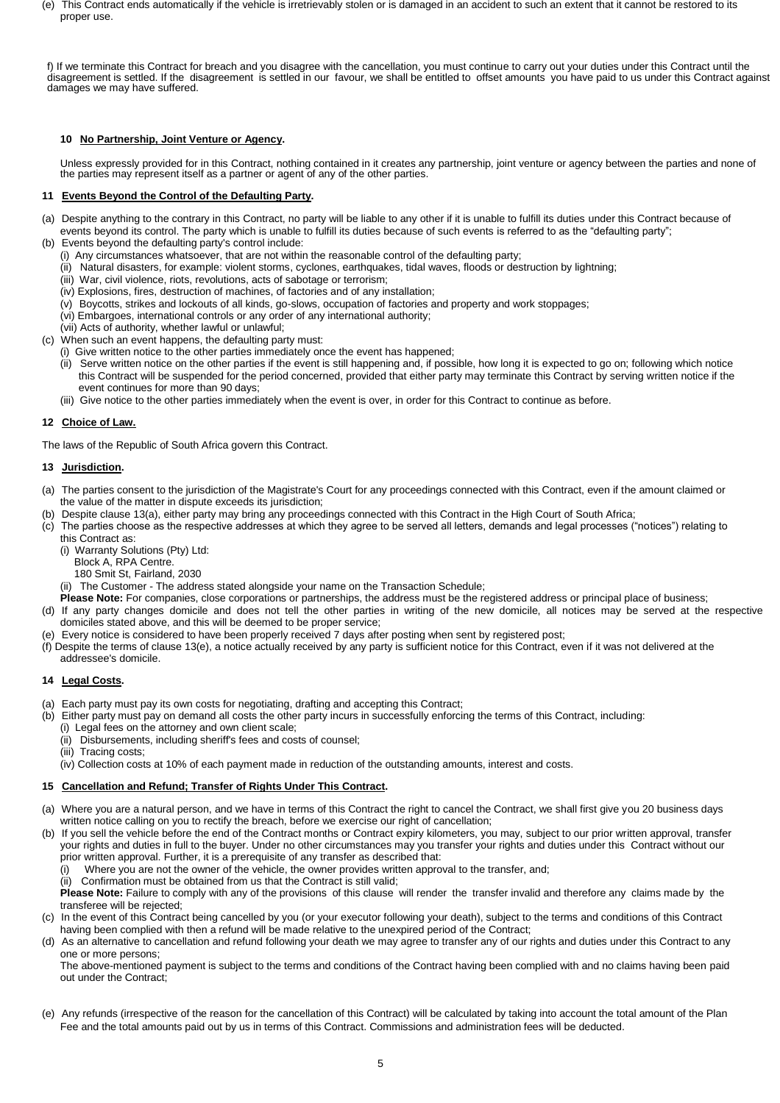(e) This Contract ends automatically if the vehicle is irretrievably stolen or is damaged in an accident to such an extent that it cannot be restored to its proper use.

f) If we terminate this Contract for breach and you disagree with the cancellation, you must continue to carry out your duties under this Contract until the disagreement is settled. If the disagreement is settled in our favour, we shall be entitled to offset amounts you have paid to us under this Contract against damages we may have suffered.

## **10 No Partnership, Joint Venture or Agency.**

Unless expressly provided for in this Contract, nothing contained in it creates any partnership, joint venture or agency between the parties and none of the parties may represent itself as a partner or agent of any of the other parties.

## **11 Events Beyond the Control of the Defaulting Party.**

- (a) Despite anything to the contrary in this Contract, no party will be liable to any other if it is unable to fulfill its duties under this Contract because of events beyond its control. The party which is unable to fulfill its duties because of such events is referred to as the "defaulting party";
- (b) Events beyond the defaulting party's control include:
	- (i) Any circumstances whatsoever, that are not within the reasonable control of the defaulting party;
	- (ii) Natural disasters, for example: violent storms, cyclones, earthquakes, tidal waves, floods or destruction by lightning;
	- (iii) War, civil violence, riots, revolutions, acts of sabotage or terrorism;
	- (iv) Explosions, fires, destruction of machines, of factories and of any installation;
	- (v) Boycotts, strikes and lockouts of all kinds, go-slows, occupation of factories and property and work stoppages;
	- (vi) Embargoes, international controls or any order of any international authority;
	- (vii) Acts of authority, whether lawful or unlawful;
- (c) When such an event happens, the defaulting party must:
	- (i) Give written notice to the other parties immediately once the event has happened;
	- (ii) Serve written notice on the other parties if the event is still happening and, if possible, how long it is expected to go on; following which notice this Contract will be suspended for the period concerned, provided that either party may terminate this Contract by serving written notice if the event continues for more than 90 days;
	- (iii) Give notice to the other parties immediately when the event is over, in order for this Contract to continue as before.

## **12 Choice of Law.**

The laws of the Republic of South Africa govern this Contract.

## **13 Jurisdiction.**

- (a) The parties consent to the jurisdiction of the Magistrate's Court for any proceedings connected with this Contract, even if the amount claimed or the value of the matter in dispute exceeds its jurisdiction;
- Despite clause 13(a), either party may bring any proceedings connected with this Contract in the High Court of South Africa;
- (c) The parties choose as the respective addresses at which they agree to be served all letters, demands and legal processes ("notices") relating to this Contract as:
	- (i) Warranty Solutions (Pty) Ltd:
	- Block A, RPA Centre.
	- 180 Smit St, Fairland, 2030
	- (ii) The Customer The address stated alongside your name on the Transaction Schedule;
- **Please Note:** For companies, close corporations or partnerships, the address must be the registered address or principal place of business; (d) If any party changes domicile and does not tell the other parties in writing of the new domicile, all notices may be served at the respective
- domiciles stated above, and this will be deemed to be proper service;
- (e) Every notice is considered to have been properly received 7 days after posting when sent by registered post;
- (f) Despite the terms of clause 13(e), a notice actually received by any party is sufficient notice for this Contract, even if it was not delivered at the addressee's domicile.

## **14 Legal Costs.**

- (a) Each party must pay its own costs for negotiating, drafting and accepting this Contract;
- (b) Either party must pay on demand all costs the other party incurs in successfully enforcing the terms of this Contract, including:
	- (i) Legal fees on the attorney and own client scale;
		- (ii) Disbursements, including sheriff's fees and costs of counsel;
		- (iii) Tracing costs;
		- (iv) Collection costs at 10% of each payment made in reduction of the outstanding amounts, interest and costs.

### **15 Cancellation and Refund; Transfer of Rights Under This Contract.**

- (a) Where you are a natural person, and we have in terms of this Contract the right to cancel the Contract, we shall first give you 20 business days written notice calling on you to rectify the breach, before we exercise our right of cancellation;
- (b) If you sell the vehicle before the end of the Contract months or Contract expiry kilometers, you may, subject to our prior written approval, transfer your rights and duties in full to the buyer. Under no other circumstances may you transfer your rights and duties under this Contract without our prior written approval. Further, it is a prerequisite of any transfer as described that:
	- Where you are not the owner of the vehicle, the owner provides written approval to the transfer, and;
	- (ii) Confirmation must be obtained from us that the Contract is still valid;

**Please Note:** Failure to comply with any of the provisions of this clause will render the transfer invalid and therefore any claims made by the transferee will be rejected;

- (c) In the event of this Contract being cancelled by you (or your executor following your death), subject to the terms and conditions of this Contract having been complied with then a refund will be made relative to the unexpired period of the Contract;
- (d) As an alternative to cancellation and refund following your death we may agree to transfer any of our rights and duties under this Contract to any one or more persons;

The above-mentioned payment is subject to the terms and conditions of the Contract having been complied with and no claims having been paid out under the Contract;

(e) Any refunds (irrespective of the reason for the cancellation of this Contract) will be calculated by taking into account the total amount of the Plan Fee and the total amounts paid out by us in terms of this Contract. Commissions and administration fees will be deducted.